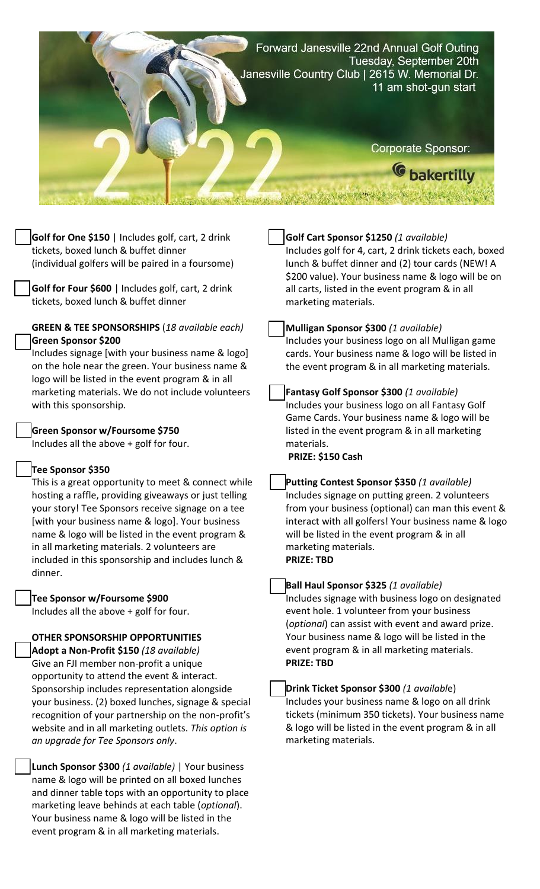

**Golf for One \$150** | Includes golf, cart, 2 drink tickets, boxed lunch & buffet dinner (individual golfers will be paired in a foursome)

**Golf for Four \$600** | Includes golf, cart, 2 drink tickets, boxed lunch & buffet dinner

#### **GREEN & TEE SPONSORSHIPS** (*18 available each)* **Green Sponsor \$200**

Includes signage [with your business name & logo] on the hole near the green. Your business name & logo will be listed in the event program & in all marketing materials. We do not include volunteers with this sponsorship.

## **Green Sponsor w/Foursome \$750**

Includes all the above + golf for four.

## **Tee Sponsor \$350**

This is a great opportunity to meet & connect while hosting a raffle, providing giveaways or just telling your story! Tee Sponsors receive signage on a tee [with your business name & logo]. Your business name & logo will be listed in the event program & in all marketing materials. 2 volunteers are included in this sponsorship and includes lunch & dinner.

#### **Tee Sponsor w/Foursome \$900**

Includes all the above + golf for four.

#### **OTHER SPONSORSHIP OPPORTUNITIES**

**Adopt a Non-Profit \$150** *(18 available)* Give an FJI member non-profit a unique opportunity to attend the event & interact. Sponsorship includes representation alongside your business. (2) boxed lunches, signage & special recognition of your partnership on the non-profit's website and in all marketing outlets. *This option is an upgrade for Tee Sponsors only*.

**Lunch Sponsor \$300** *(1 available)* | Your business name & logo will be printed on all boxed lunches and dinner table tops with an opportunity to place marketing leave behinds at each table (*optional*). Your business name & logo will be listed in the event program & in all marketing materials.

# **Golf Cart Sponsor \$1250** *(1 available)* Includes golf for 4, cart, 2 drink tickets each, boxed lunch & buffet dinner and (2) tour cards (NEW! A \$200 value). Your business name & logo will be on all carts, listed in the event program & in all marketing materials. **Mulligan Sponsor \$300** *(1 available)* Includes your business logo on all Mulligan game cards. Your business name & logo will be listed in the event program & in all marketing materials. **Fantasy Golf Sponsor \$300** *(1 available)* Includes your business logo on all Fantasy Golf Game Cards. Your business name & logo will be listed in the event program & in all marketing materials. **PRIZE: \$150 Cash Putting Contest Sponsor \$350** *(1 available)* Includes signage on putting green. 2 volunteers from your business (optional) can man this event & interact with all golfers! Your business name & logo will be listed in the event program & in all marketing materials.

**PRIZE: TBD**

#### **Ball Haul Sponsor \$325** *(1 available)*

Includes signage with business logo on designated event hole. 1 volunteer from your business (*optional*) can assist with event and award prize. Your business name & logo will be listed in the event program & in all marketing materials. **PRIZE: TBD**

### **Drink Ticket Sponsor \$300** *(1 availabl*e) Includes your business name & logo on all drink tickets (minimum 350 tickets). Your business name & logo will be listed in the event program & in all marketing materials.